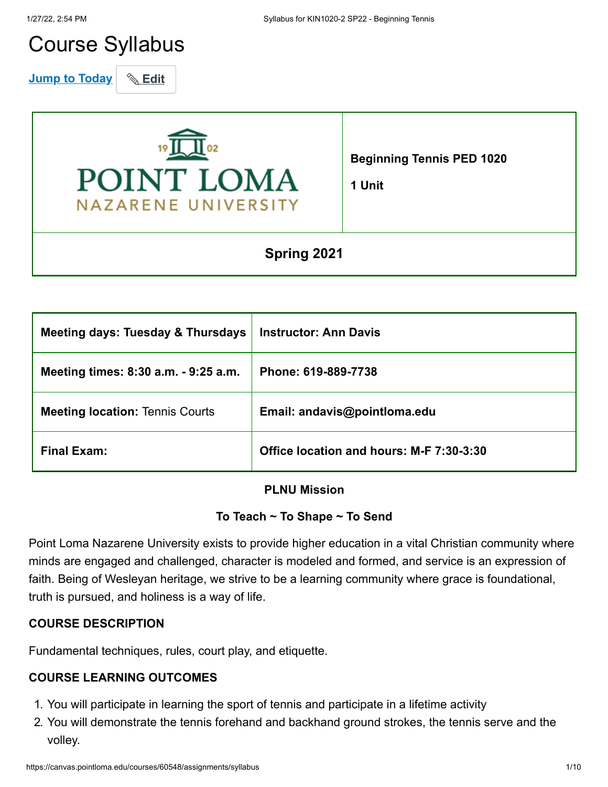# Course Syllabus

**Jump to Today** & Edit



**Beginning Tennis PED 1020**

**1 Unit**

# **Spring 2021**

| <b>Meeting days: Tuesday &amp; Thursdays</b> | <b>Instructor: Ann Davis</b>             |
|----------------------------------------------|------------------------------------------|
| Meeting times: 8:30 a.m. - 9:25 a.m.         | Phone: 619-889-7738                      |
| <b>Meeting location: Tennis Courts</b>       | Email: andavis@pointloma.edu             |
| <b>Final Exam:</b>                           | Office location and hours: M-F 7:30-3:30 |

#### **PLNU Mission**

# **To Teach ~ To Shape ~ To Send**

Point Loma Nazarene University exists to provide higher education in a vital Christian community where minds are engaged and challenged, character is modeled and formed, and service is an expression of faith. Being of Wesleyan heritage, we strive to be a learning community where grace is foundational, truth is pursued, and holiness is a way of life.

# **COURSE DESCRIPTION**

Fundamental techniques, rules, court play, and etiquette.

# **COURSE LEARNING OUTCOMES**

- 1. You will participate in learning the sport of tennis and participate in a lifetime activity
- 2. You will demonstrate the tennis forehand and backhand ground strokes, the tennis serve and the volley.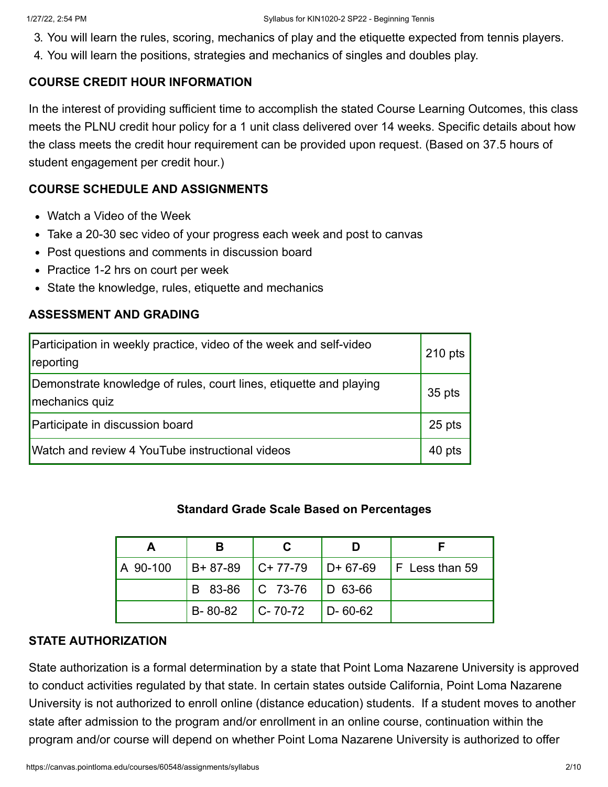- 3. You will learn the rules, scoring, mechanics of play and the etiquette expected from tennis players.
- 4. You will learn the positions, strategies and mechanics of singles and doubles play.

#### **COURSE CREDIT HOUR INFORMATION**

In the interest of providing sufficient time to accomplish the stated Course Learning Outcomes, this class meets the PLNU credit hour policy for a 1 unit class delivered over 14 weeks. Specific details about how the class meets the credit hour requirement can be provided upon request. (Based on 37.5 hours of student engagement per credit hour.)

#### **COURSE SCHEDULE AND ASSIGNMENTS**

- Watch a Video of the Week
- Take a 20-30 sec video of your progress each week and post to canvas
- Post questions and comments in discussion board
- Practice 1-2 hrs on court per week
- State the knowledge, rules, etiquette and mechanics

#### **ASSESSMENT AND GRADING**

| Participation in weekly practice, video of the week and self-video<br>reporting      | $210$ pts |
|--------------------------------------------------------------------------------------|-----------|
| Demonstrate knowledge of rules, court lines, etiquette and playing<br>mechanics quiz | 35 pts    |
| Participate in discussion board                                                      | 25 pts    |
| Watch and review 4 YouTube instructional videos                                      | 40 pts    |

#### **Standard Grade Scale Based on Percentages**

| A 90-100 |                     |                             |               | $ B+87-89 $ C+77-79 $ D+67-69 $ F Less than 59 |
|----------|---------------------|-----------------------------|---------------|------------------------------------------------|
|          |                     | B 83-86   C 73-76   D 63-66 |               |                                                |
|          | $B-80-82$ $C-70-72$ |                             | $D - 60 - 62$ |                                                |

#### **STATE AUTHORIZATION**

State authorization is a formal determination by a state that Point Loma Nazarene University is approved to conduct activities regulated by that state. In certain states outside California, Point Loma Nazarene University is not authorized to enroll online (distance education) students. If a student moves to another state after admission to the program and/or enrollment in an online course, continuation within the program and/or course will depend on whether Point Loma Nazarene University is authorized to offer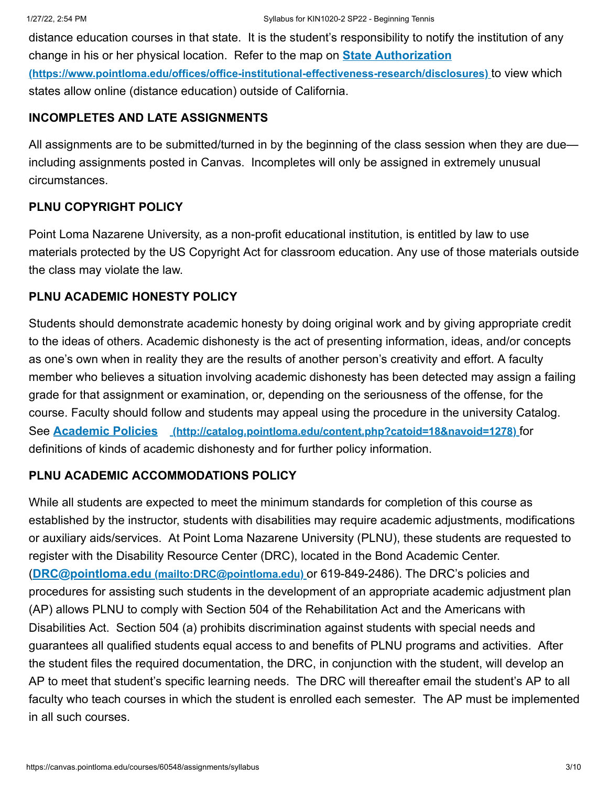distance education courses in that state. It is the student's responsibility to notify the institution of any change in his or her physical location. Refer to the map on **State Authorization [\(https://www.pointloma.edu/offices/office-institutional-effectiveness-research/disclosures\)](https://www.pointloma.edu/offices/office-institutional-effectiveness-research/disclosures)** to view which states allow online (distance education) outside of California.

#### **INCOMPLETES AND LATE ASSIGNMENTS**

All assignments are to be submitted/turned in by the beginning of the class session when they are due including assignments posted in Canvas. Incompletes will only be assigned in extremely unusual circumstances.

#### **PLNU COPYRIGHT POLICY**

Point Loma Nazarene University, as a non-profit educational institution, is entitled by law to use materials protected by the US Copyright Act for classroom education. Any use of those materials outside the class may violate the law.

#### **PLNU ACADEMIC HONESTY POLICY**

Students should demonstrate academic honesty by doing original work and by giving appropriate credit to the ideas of others. Academic dishonesty is the act of presenting information, ideas, and/or concepts as one's own when in reality they are the results of another person's creativity and effort. A faculty member who believes a situation involving academic dishonesty has been detected may assign a failing grade for that assignment or examination, or, depending on the seriousness of the offense, for the course. Faculty should follow and students may appeal using the procedure in the university Catalog. See **Academic Policies [\(http://catalog.pointloma.edu/content.php?catoid=18&navoid=1278\)](http://catalog.pointloma.edu/content.php?catoid=18&navoid=1278)** for definitions of kinds of academic dishonesty and for further policy information.

#### **PLNU ACADEMIC ACCOMMODATIONS POLICY**

While all students are expected to meet the minimum standards for completion of this course as established by the instructor, students with disabilities may require academic adjustments, modifications or auxiliary aids/services. At Point Loma Nazarene University (PLNU), these students are requested to register with the Disability Resource Center (DRC), located in the Bond Academic Center. (**DRC@pointloma.edu [\(mailto:DRC@pointloma.edu\)](mailto:DRC@pointloma.edu)** or 619-849-2486). The DRC's policies and procedures for assisting such students in the development of an appropriate academic adjustment plan (AP) allows PLNU to comply with Section 504 of the Rehabilitation Act and the Americans with Disabilities Act. Section 504 (a) prohibits discrimination against students with special needs and guarantees all qualified students equal access to and benefits of PLNU programs and activities. After the student files the required documentation, the DRC, in conjunction with the student, will develop an AP to meet that student's specific learning needs. The DRC will thereafter email the student's AP to all faculty who teach courses in which the student is enrolled each semester. The AP must be implemented in all such courses.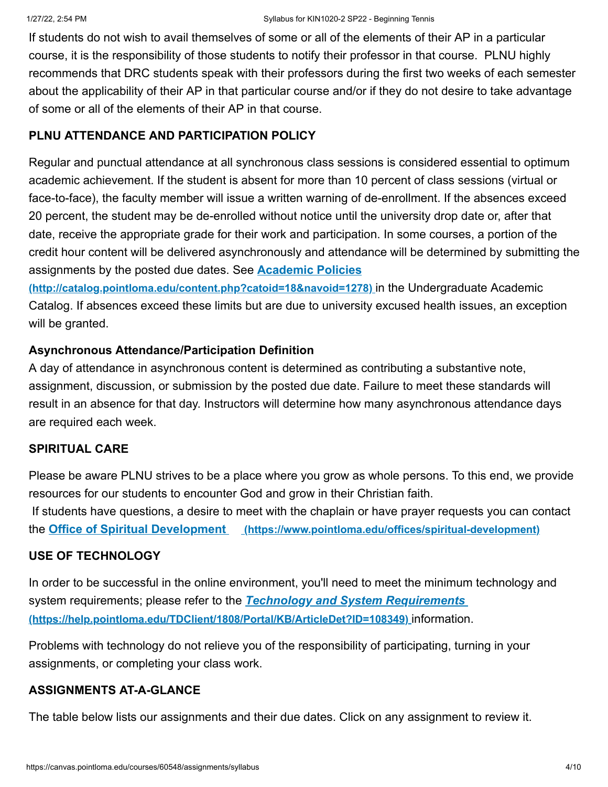If students do not wish to avail themselves of some or all of the elements of their AP in a particular course, it is the responsibility of those students to notify their professor in that course. PLNU highly recommends that DRC students speak with their professors during the first two weeks of each semester about the applicability of their AP in that particular course and/or if they do not desire to take advantage of some or all of the elements of their AP in that course.

# **PLNU ATTENDANCE AND PARTICIPATION POLICY**

Regular and punctual attendance at all synchronous class sessions is considered essential to optimum academic achievement. If the student is absent for more than 10 percent of class sessions (virtual or face-to-face), the faculty member will issue a written warning of de-enrollment. If the absences exceed 20 percent, the student may be de-enrolled without notice until the university drop date or, after that date, receive the appropriate grade for their work and participation. In some courses, a portion of the credit hour content will be delivered asynchronously and attendance will be determined by submitting the assignments by the posted due dates. See **Academic Policies**

**[\(http://catalog.pointloma.edu/content.php?catoid=18&navoid=1278\)](http://catalog.pointloma.edu/content.php?catoid=18&navoid=1278)** in the Undergraduate Academic Catalog. If absences exceed these limits but are due to university excused health issues, an exception will be granted.

# **Asynchronous Attendance/Participation Definition**

A day of attendance in asynchronous content is determined as contributing a substantive note, assignment, discussion, or submission by the posted due date. Failure to meet these standards will result in an absence for that day. Instructors will determine how many asynchronous attendance days are required each week.

# **SPIRITUAL CARE**

Please be aware PLNU strives to be a place where you grow as whole persons. To this end, we provide resources for our students to encounter God and grow in their Christian faith. If students have questions, a desire to meet with the chaplain or have prayer requests you can contact the **Office of Spiritual Development [\(https://www.pointloma.edu/offices/spiritual-development\)](https://www.pointloma.edu/offices/spiritual-development)**

# **USE OF TECHNOLOGY**

In order to be successful in the online environment, you'll need to meet the minimum technology and system requirements; please refer to the *Technology and System Requirements*  **[\(https://help.pointloma.edu/TDClient/1808/Portal/KB/ArticleDet?ID=108349\)](https://help.pointloma.edu/TDClient/1808/Portal/KB/ArticleDet?ID=108349)** information.

Problems with technology do not relieve you of the responsibility of participating, turning in your assignments, or completing your class work.

# **ASSIGNMENTS AT-A-GLANCE**

The table below lists our assignments and their due dates. Click on any assignment to review it.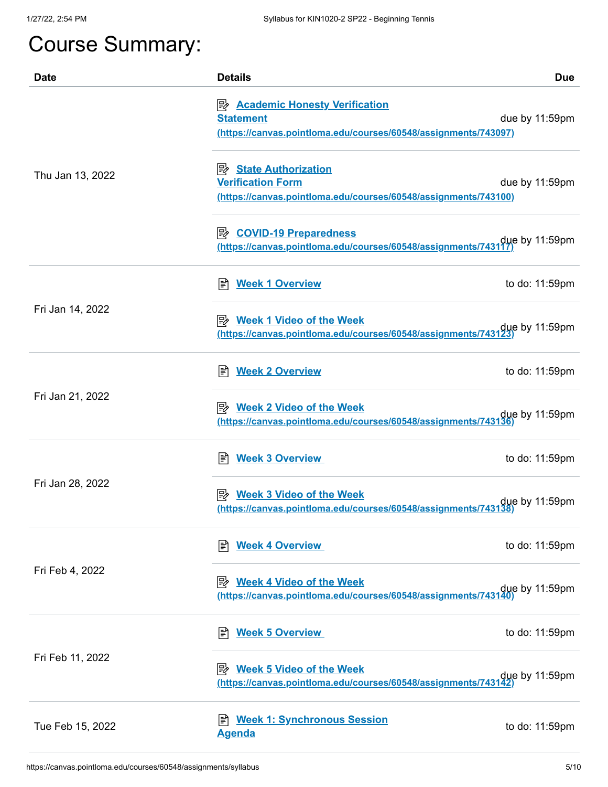# Course Summary:

| <b>Date</b>      | <b>Details</b>                                                                                                                  | <b>Due</b>     |
|------------------|---------------------------------------------------------------------------------------------------------------------------------|----------------|
| Thu Jan 13, 2022 | <b>E</b> Academic Honesty Verification<br><b>Statement</b><br>(https://canvas.pointloma.edu/courses/60548/assignments/743097)   | due by 11:59pm |
|                  | <b>State Authorization</b><br>י⊯<br><b>Verification Form</b><br>(https://canvas.pointloma.edu/courses/60548/assignments/743100) | due by 11:59pm |
|                  | due by 11:59pm (https://canvas.pointloma.edu/courses/60548/assignments/743117)                                                  |                |
|                  | <b>Week 1 Overview</b><br>闫                                                                                                     | to do: 11:59pm |
| Fri Jan 14, 2022 | <u> <i>Week 1</i> Video of the Week</u><br>due by 11:59pm<br>https://canvas.pointloma.edu/courses/60548/assignments/743123)     |                |
| Fri Jan 21, 2022 | <b>Week 2 Overview</b><br>l≣î                                                                                                   | to do: 11:59pm |
|                  | <b>Week 2 Video of the Week</b><br>眕<br>due by 11:59pm due thttps://canvas.pointloma.edu/courses/60548/assignments/743136)      |                |
|                  | <b>Week 3 Overview</b><br>闫                                                                                                     | to do: 11:59pm |
| Fri Jan 28, 2022 | <b>Week 3 Video of the Week</b><br>due by 11:59pm (https://canvas.pointloma.edu/courses/60548/assignments/743138)               |                |
|                  | <b>Week 4 Overview</b><br>I≣Î                                                                                                   | to do: 11:59pm |
| Fri Feb 4, 2022  | <b>Week 4 Video of the Week</b><br>ぽん<br>due by 11:59pm<br>https://canvas.pointloma.edu/courses/60548/assignments/743140)       |                |
| Fri Feb 11, 2022 | <b>Week 5 Overview</b><br>冒                                                                                                     | to do: 11:59pm |
|                  | P <sup>2</sup> Week 5 Video of the Week<br>due by 11:59pm (https://canvas.pointloma.edu/courses/60548/assignments/743142)       |                |
| Tue Feb 15, 2022 | <b>Week 1: Synchronous Session</b><br>ا≣ا<br><b>Agenda</b>                                                                      | to do: 11:59pm |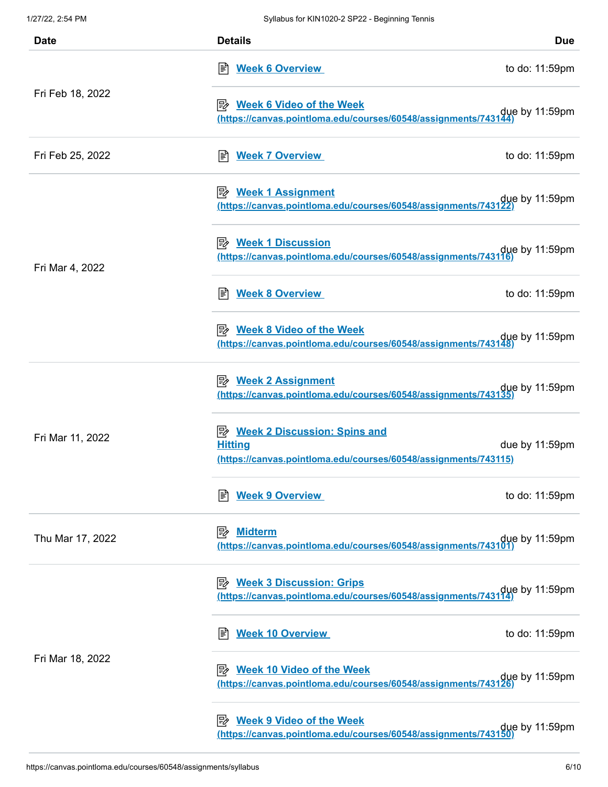| <b>Date</b>      | <b>Details</b>                                                                                                              | <b>Due</b>     |
|------------------|-----------------------------------------------------------------------------------------------------------------------------|----------------|
|                  | <b>E</b> Week 6 Overview                                                                                                    | to do: 11:59pm |
| Fri Feb 18, 2022 | P <sup>2</sup> Week 6 Video of the Week<br>due by 11:59pm<br>https://canvas.pointloma.edu/courses/60548/assignments/743144) |                |
| Fri Feb 25, 2022 | <b>Week 7 Overview</b><br>闫                                                                                                 | to do: 11:59pm |
|                  | due by 11:59pm (https://canvas.pointloma.edu/courses/60548/assignments/743122)                                              |                |
| Fri Mar 4, 2022  | <b>A</b> Week 1 Discussion<br>due by 11:59pm (https://canvas.pointloma.edu/courses/60548/assignments/743116)                |                |
|                  | <b>Week 8 Overview</b><br>闫                                                                                                 | to do: 11:59pm |
|                  | <b>B</b> Week 8 Video of the Week<br>due by 11:59pm<br>https://canvas.pointloma.edu/courses/60548/assignments/743148)       |                |
|                  | <b>By Week 2 Assignment</b><br>due by 11:59pm due thttps://canvas.pointloma.edu/courses/60548/assignments/743135)           |                |
| Fri Mar 11, 2022 | <b>B</b> Week 2 Discussion: Spins and<br><b>Hitting</b><br>(https://canvas.pointloma.edu/courses/60548/assignments/743115)  | due by 11:59pm |
|                  | <b>Week 9 Overview</b>                                                                                                      | to do: 11:59pm |
| Thu Mar 17, 2022 | <b>Midterm</b><br>ぽん<br>due by 11:59pm<br><u>(https://canvas.pointloma.edu/courses/60548/assignments/743101)</u>            |                |
|                  | <b>B</b> Week 3 Discussion: Grips<br>due by 11:59pm<br>https://canvas.pointloma.edu/courses/60548/assignments/743114)       |                |
|                  | <b>Week 10 Overview</b><br>闫                                                                                                | to do: 11:59pm |
| Fri Mar 18, 2022 | <b>Week 10 Video of the Week</b><br>ぽ々<br>due by 11:59pm<br>https://canvas.pointloma.edu/courses/60548/assignments/743126)  |                |
|                  | <b>Week 9 Video of the Week</b><br>眕<br>due by 11:59pm<br>https://canvas.pointloma.edu/courses/60548/assignments/743150)    |                |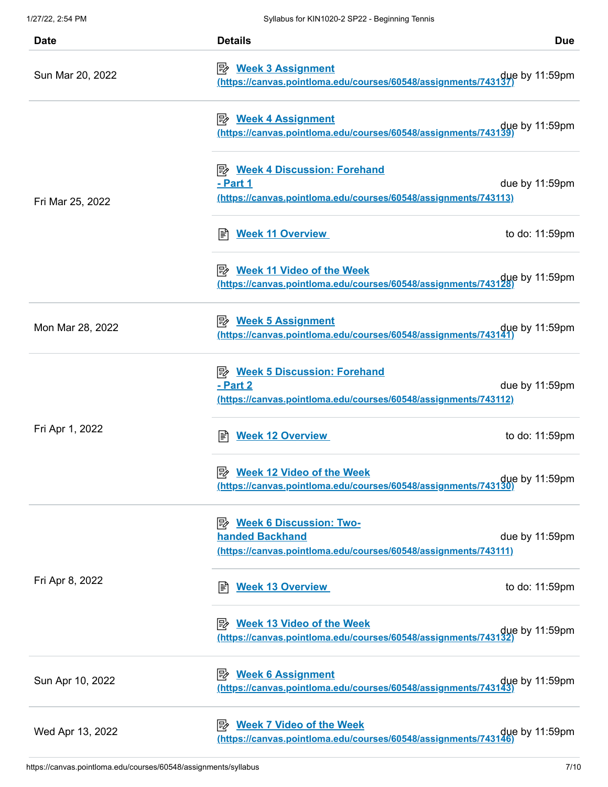| <b>Date</b>      | <b>Details</b>                                                                                                                                     | <b>Due</b> |
|------------------|----------------------------------------------------------------------------------------------------------------------------------------------------|------------|
| Sun Mar 20, 2022 | <b>Week 3 Assignment</b><br> ₩<br>due by 11:59pm (https://canvas.pointloma.edu/courses/60548/assignments/743137)                                   |            |
| Fri Mar 25, 2022 | <b>Week 4 Assignment</b><br>彫<br>due by 11:59pm<br>https://canvas.pointloma.edu/courses/60548/assignments/743139)                                  |            |
|                  | <b>Week 4 Discussion: Forehand</b><br>ぽん<br>- Part 1<br>due by 11:59pm<br>(https://canvas.pointloma.edu/courses/60548/assignments/743113)          |            |
|                  | <b>Week 11 Overview</b><br>to do: 11:59pm<br>冒                                                                                                     |            |
|                  | Week 11 Video of the Week<br>due by 11:59pm<br>https://canvas.pointloma.edu/courses/60548/assignments/743128)                                      |            |
| Mon Mar 28, 2022 | due by 11:59pm<br>https://canvas.pointloma.edu/courses/60548/assignments/743141)                                                                   |            |
| Fri Apr 1, 2022  | P Week 5 Discussion: Forehand<br>- Part 2<br>due by 11:59pm<br>(https://canvas.pointloma.edu/courses/60548/assignments/743112)                     |            |
|                  | <b>Week 12 Overview</b><br>to do: 11:59pm<br>闫                                                                                                     |            |
|                  | 尾々<br><b>Week 12 Video of the Week</b><br>due by 11:59pm<br>https://canvas.pointloma.edu/courses/60548/assignments/743130)                         |            |
| Fri Apr 8, 2022  | <b>Week 6 Discussion: Two-</b><br>眕<br><b>handed Backhand</b><br>due by 11:59pm<br>(https://canvas.pointloma.edu/courses/60548/assignments/743111) |            |
|                  | <b>Week 13 Overview</b><br>to do: 11:59pm<br>闫                                                                                                     |            |
|                  | <b>Week 13 Video of the Week</b><br>眕<br>due by 11:59pm<br>https://canvas.pointloma.edu/courses/60548/assignments/743132)                          |            |
| Sun Apr 10, 2022 | <b>Week 6 Assignment</b><br>ぽん<br>due by 11:59pm due thttps://canvas.pointloma.edu/courses/60548/assignments/743143)                               |            |
| Wed Apr 13, 2022 | <b>Week 7 Video of the Week</b><br>眕<br>due by 11:59pm<br>https://canvas.pointloma.edu/courses/60548/assignments/743146)                           |            |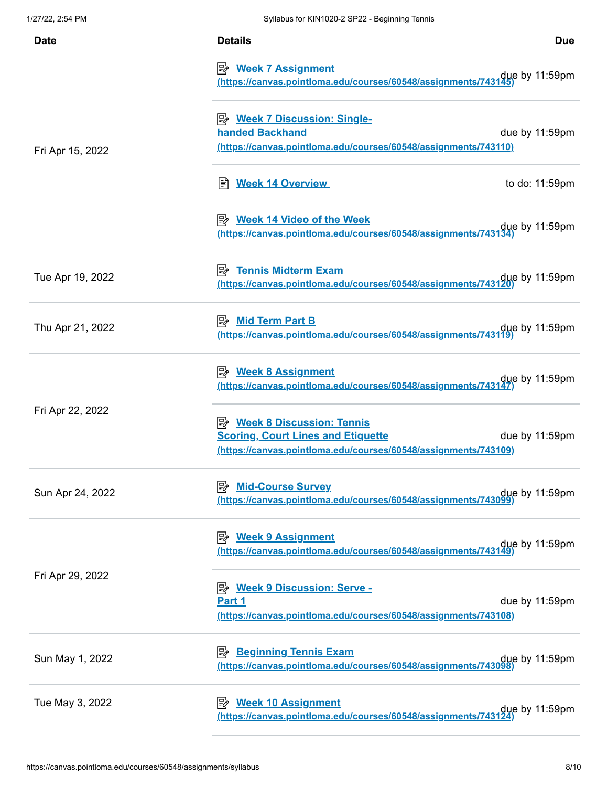| <b>Date</b>      | <b>Details</b>                                                                                                                                     | <b>Due</b>     |
|------------------|----------------------------------------------------------------------------------------------------------------------------------------------------|----------------|
|                  | due by 11:59pm<br>https://canvas.pointloma.edu/courses/60548/assignments/743145)                                                                   |                |
| Fri Apr 15, 2022 | P <sup>2</sup> Week 7 Discussion: Single-<br><b>handed Backhand</b><br>(https://canvas.pointloma.edu/courses/60548/assignments/743110)             | due by 11:59pm |
|                  | <b>Week 14 Overview</b><br>闫                                                                                                                       | to do: 11:59pm |
|                  | P <sup>2</sup> Week 14 Video of the Week<br>due by 11:59pm<br>https://canvas.pointloma.edu/courses/60548/assignments/743134)                       |                |
| Tue Apr 19, 2022 | <b>B</b> Tennis Midterm Exam<br>due by 11:59pm<br>https://canvas.pointloma.edu/courses/60548/assignments/743120)                                   |                |
| Thu Apr 21, 2022 | <b>A</b> Mid Term Part B<br>due by 11:59pm<br><u>(https://canvas.pointloma.edu/courses/60548/assignments/743119)</u>                               |                |
|                  | <u>≫ Week 8 Assignment</u><br>due by 11:59pm (https://canvas.pointloma.edu/courses/60548/assignments/743147)                                       |                |
| Fri Apr 22, 2022 | <b>B</b> Week 8 Discussion: Tennis<br><b>Scoring, Court Lines and Etiquette</b><br>(https://canvas.pointloma.edu/courses/60548/assignments/743109) | due by 11:59pm |
| Sun Apr 24, 2022 | <b>Mid-Course Survey</b><br>眕<br>due by 11:59pm<br>https://canvas.pointloma.edu/courses/60548/assignments/743099)                                  |                |
|                  | <b>B</b> Week 9 Assignment<br>due by 11:59pm<br>https://canvas.pointloma.edu/courses/60548/assignments/743149)                                     |                |
| Fri Apr 29, 2022 | <b>Week 9 Discussion: Serve -</b><br>ぽん<br>Part 1<br>(https://canvas.pointloma.edu/courses/60548/assignments/743108)                               | due by 11:59pm |
| Sun May 1, 2022  | <b>Beginning Tennis Exam</b><br>眕<br>due by 11:59pm<br>https://canvas.pointloma.edu/courses/60548/assignments/743098)                              |                |
| Tue May 3, 2022  | <b>B</b> Week 10 Assignment<br>due by 11:59pm<br>https://canvas.pointloma.edu/courses/60548/assignments/743124)                                    |                |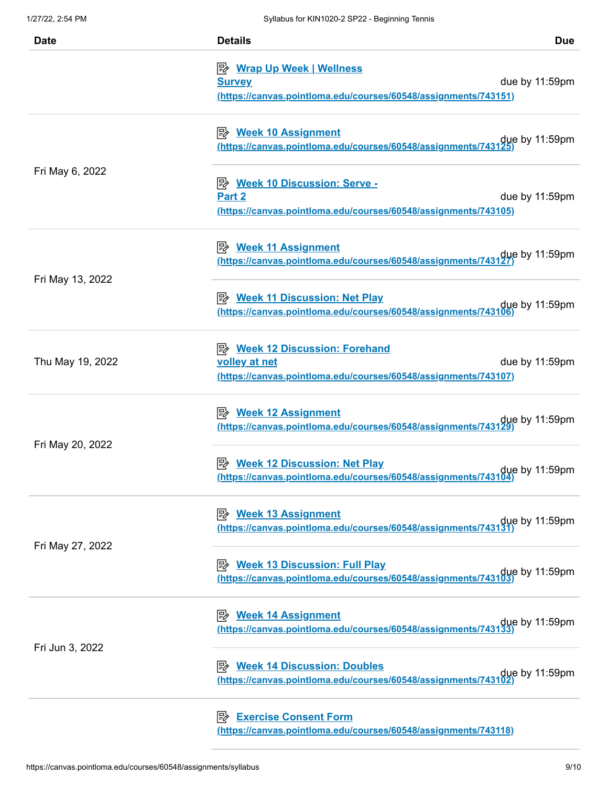| <b>Date</b>      | <b>Details</b>                                                                                                                         | <b>Due</b> |
|------------------|----------------------------------------------------------------------------------------------------------------------------------------|------------|
|                  | <b>B</b> Wrap Up Week   Wellness<br>due by 11:59pm<br><b>Survey</b><br>(https://canvas.pointloma.edu/courses/60548/assignments/743151) |            |
|                  | due by 11:59pm<br>https://canvas.pointloma.edu/courses/60548/assignments/743125)                                                       |            |
| Fri May 6, 2022  | Week 10 Discussion: Serve -<br>Part 2<br>due by 11:59pm<br>(https://canvas.pointloma.edu/courses/60548/assignments/743105)             |            |
|                  | <b>B</b> Week 11 Assignment<br>due by 11:59pm (https://canvas.pointloma.edu/courses/60548/assignments/743127)                          |            |
| Fri May 13, 2022 | <b>B</b> Week 11 Discussion: Net Play<br>due by 11:59pm<br>https://canvas.pointloma.edu/courses/60548/assignments/743106)              |            |
| Thu May 19, 2022 | Week 12 Discussion: Forehand<br>volley at net<br>due by 11:59pm<br>(https://canvas.pointloma.edu/courses/60548/assignments/743107)     |            |
| Fri May 20, 2022 | <b>B</b> Week 12 Assignment<br>due by 11:59pm<br>https://canvas.pointloma.edu/courses/60548/assignments/743129)                        |            |
|                  | Week 12 Discussion: Net Play<br>due by 11:59pm)<br><u>(https://canvas.pointloma.edu/courses/60548/assignments/743104)</u>              |            |
|                  | <b>B</b> Week 13 Assignment<br>due by 11:59pm<br><u>(https://canvas.pointloma.edu/courses/60548/assignments/743131)</u>                |            |
| Fri May 27, 2022 | <b>B</b> Week 13 Discussion: Full Play<br>due by 11:59pm<br>https://canvas.pointloma.edu/courses/60548/assignments/743103)             |            |
|                  | due by 11:59pm (https://canvas.pointloma.edu/courses/60548/assignments/743133)                                                         |            |
| Fri Jun 3, 2022  | <b>B</b> Week 14 Discussion: Doubles<br>due by 11:59pm<br>https://canvas.pointloma.edu/courses/60548/assignments/743102)               |            |
|                  | <b>Exercise Consent Form</b><br>(https://canvas.pointloma.edu/courses/60548/assignments/743118)                                        |            |